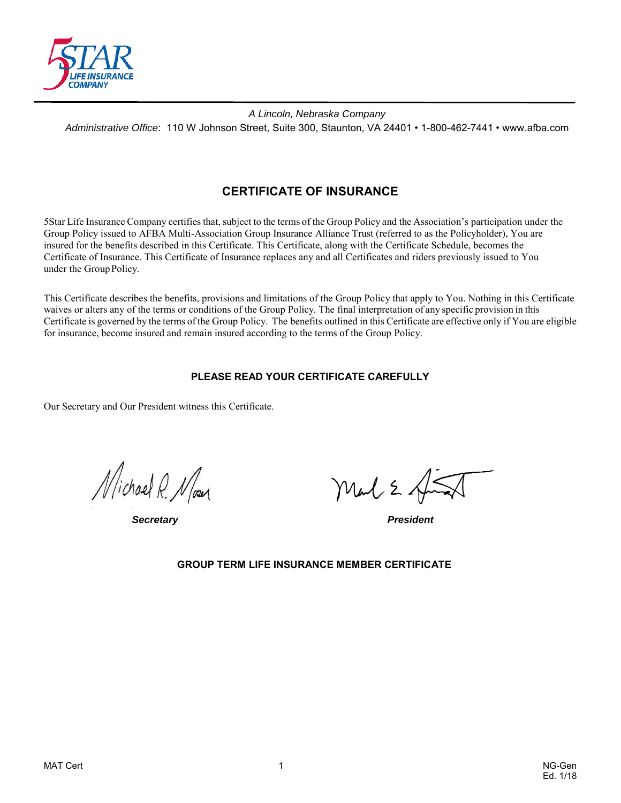

*A Lincoln, Nebraska Company Administrative Office*: 110 W Johnson Street, Suite 300, Staunton, VA 24401 • 1-800-462-7441 • www.afba.com

# **CERTIFICATE OF INSURANCE**

5Star Life Insurance Company certifies that, subject to the terms of the Group Policy and the Association's participation under the Group Policy issued to AFBA Multi-Association Group Insurance Alliance Trust (referred to as the Policyholder), You are insured for the benefits described in this Certificate. This Certificate, along with the Certificate Schedule, becomes the Certificate of Insurance. This Certificate of Insurance replaces any and all Certificates and riders previously issued to You under the Group Policy.

This Certificate describes the benefits, provisions and limitations of the Group Policy that apply to You. Nothing in this Certificate waives or alters any of the terms or conditions of the Group Policy. The final interpretation of any specific provision in this Certificate is governed by the terms of the Group Policy. The benefits outlined in this Certificate are effective only if You are eligible for insurance, become insured and remain insured according to the terms of the Group Policy.

### **PLEASE READ YOUR CERTIFICATE CAREFULLY**

Our Secretary and Our President witness this Certificate.

Michael R. Nour

*Secretary President*

Mal 2

### **GROUP TERM LIFE INSURANCE MEMBER CERTIFICATE**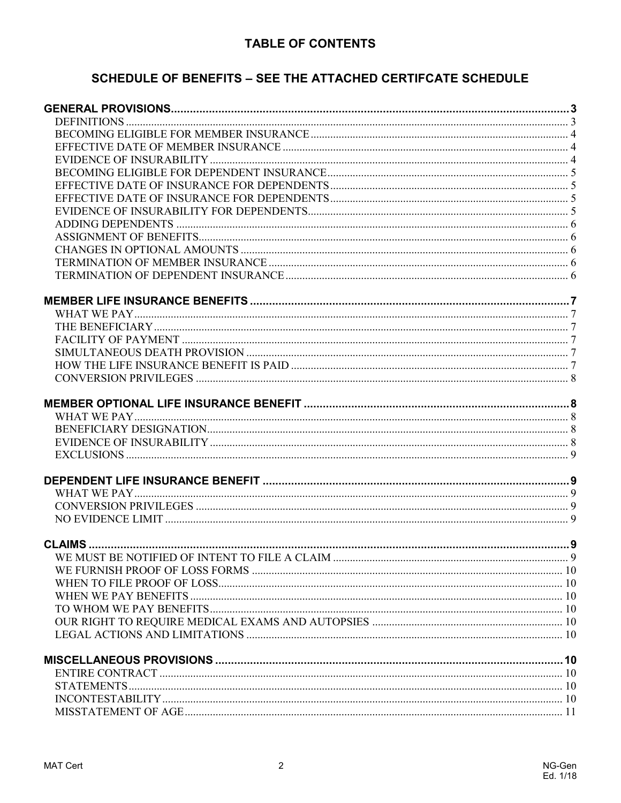# **TABLE OF CONTENTS**

# SCHEDULE OF BENEFITS - SEE THE ATTACHED CERTIFCATE SCHEDULE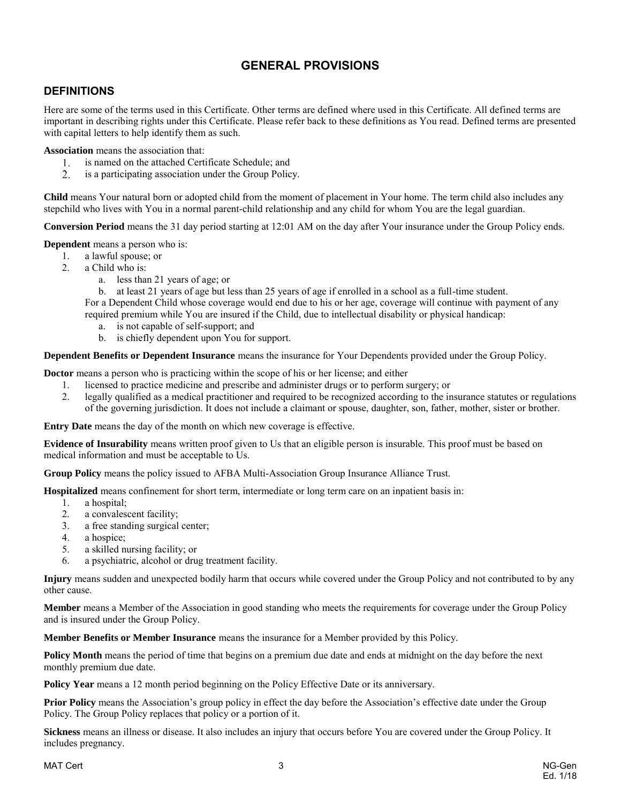# **GENERAL PROVISIONS**

## <span id="page-2-1"></span><span id="page-2-0"></span>**DEFINITIONS**

Here are some of the terms used in this Certificate. Other terms are defined where used in this Certificate. All defined terms are important in describing rights under this Certificate. Please refer back to these definitions as You read. Defined terms are presented with capital letters to help identify them as such.

**Association** means the association that:

- is named on the attached Certificate Schedule; and 1.
- $2.$ is a participating association under the Group Policy.

**Child** means Your natural born or adopted child from the moment of placement in Your home. The term child also includes any stepchild who lives with You in a normal parent-child relationship and any child for whom You are the legal guardian.

**Conversion Period** means the 31 day period starting at 12:01 AM on the day after Your insurance under the Group Policy ends.

**Dependent** means a person who is:

- 1. a lawful spouse; or
- 2. a Child who is:
	- a. less than 21 years of age; or
	- b. at least 21 years of age but less than 25 years of age if enrolled in a school as a full-time student.

For a Dependent Child whose coverage would end due to his or her age, coverage will continue with payment of any required premium while You are insured if the Child, due to intellectual disability or physical handicap:

- a. is not capable of self-support; and
- b. is chiefly dependent upon You for support.

**Dependent Benefits or Dependent Insurance** means the insurance for Your Dependents provided under the Group Policy.

**Doctor** means a person who is practicing within the scope of his or her license; and either

- 1. licensed to practice medicine and prescribe and administer drugs or to perform surgery; or
- 2. legally qualified as a medical practitioner and required to be recognized according to the insurance statutes or regulations of the governing jurisdiction. It does not include a claimant or spouse, daughter, son, father, mother, sister or brother.

**Entry Date** means the day of the month on which new coverage is effective.

**Evidence of Insurability** means written proof given to Us that an eligible person is insurable. This proof must be based on medical information and must be acceptable to Us.

**Group Policy** means the policy issued to AFBA Multi-Association Group Insurance Alliance Trust.

**Hospitalized** means confinement for short term, intermediate or long term care on an inpatient basis in:

- 1. a hospital;
- 2. a convalescent facility;
- 3. a free standing surgical center;
- 4. a hospice;
- 5. a skilled nursing facility; or
- 6. a psychiatric, alcohol or drug treatment facility.

**Injury** means sudden and unexpected bodily harm that occurs while covered under the Group Policy and not contributed to by any other cause.

**Member** means a Member of the Association in good standing who meets the requirements for coverage under the Group Policy and is insured under the Group Policy.

**Member Benefits or Member Insurance** means the insurance for a Member provided by this Policy.

**Policy Month** means the period of time that begins on a premium due date and ends at midnight on the day before the next monthly premium due date.

**Policy Year** means a 12 month period beginning on the Policy Effective Date or its anniversary.

**Prior Policy** means the Association's group policy in effect the day before the Association's effective date under the Group Policy. The Group Policy replaces that policy or a portion of it.

**Sickness** means an illness or disease. It also includes an injury that occurs before You are covered under the Group Policy. It includes pregnancy.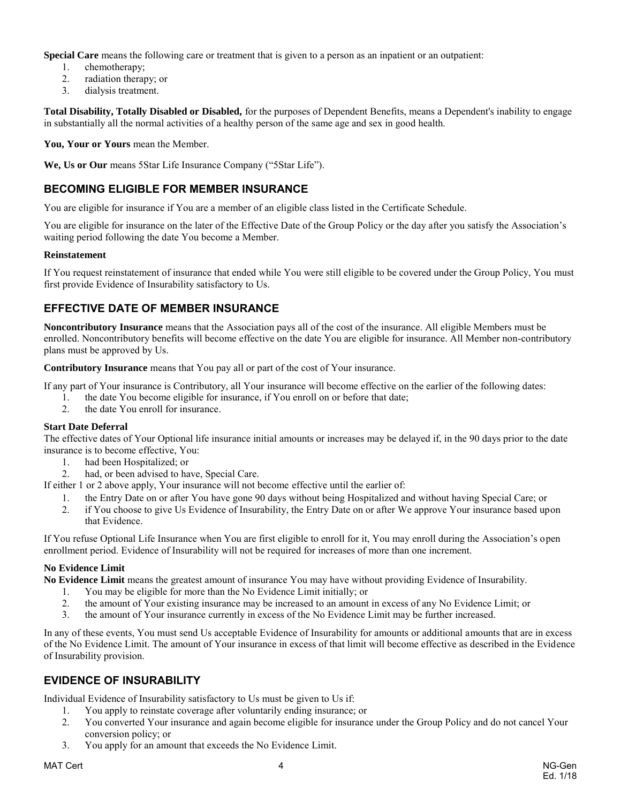**Special Care** means the following care or treatment that is given to a person as an inpatient or an outpatient:

- 1. chemotherapy;
- 2. radiation therapy; or
- 3. dialysis treatment.

**Total Disability, Totally Disabled or Disabled,** for the purposes of Dependent Benefits, means a Dependent's inability to engage in substantially all the normal activities of a healthy person of the same age and sex in good health.

**You, Your or Yours** mean the Member.

**We, Us or Our** means 5Star Life Insurance Company ("5Star Life").

## <span id="page-3-0"></span>**BECOMING ELIGIBLE FOR MEMBER INSURANCE**

You are eligible for insurance if You are a member of an eligible class listed in the Certificate Schedule.

You are eligible for insurance on the later of the Effective Date of the Group Policy or the day after you satisfy the Association's waiting period following the date You become a Member.

#### **Reinstatement**

If You request reinstatement of insurance that ended while You were still eligible to be covered under the Group Policy, You must first provide Evidence of Insurability satisfactory to Us.

## <span id="page-3-1"></span>**EFFECTIVE DATE OF MEMBER INSURANCE**

**Noncontributory Insurance** means that the Association pays all of the cost of the insurance. All eligible Members must be enrolled. Noncontributory benefits will become effective on the date You are eligible for insurance. All Member non-contributory plans must be approved by Us.

**Contributory Insurance** means that You pay all or part of the cost of Your insurance.

If any part of Your insurance is Contributory, all Your insurance will become effective on the earlier of the following dates:

- 1. the date You become eligible for insurance, if You enroll on or before that date;
- 2. the date You enroll for insurance.

#### **Start Date Deferral**

The effective dates of Your Optional life insurance initial amounts or increases may be delayed if, in the 90 days prior to the date insurance is to become effective, You:

- 1. had been Hospitalized; or
- 2. had, or been advised to have, Special Care.
- If either 1 or 2 above apply, Your insurance will not become effective until the earlier of:
	- 1. the Entry Date on or after You have gone 90 days without being Hospitalized and without having Special Care; or
	- 2. if You choose to give Us Evidence of Insurability, the Entry Date on or after We approve Your insurance based upon that Evidence.

If You refuse Optional Life Insurance when You are first eligible to enroll for it, You may enroll during the Association's open enrollment period. Evidence of Insurability will not be required for increases of more than one increment.

#### **No Evidence Limit**

**No Evidence Limit** means the greatest amount of insurance You may have without providing Evidence of Insurability.

- 1. You may be eligible for more than the No Evidence Limit initially; or
- 2. the amount of Your existing insurance may be increased to an amount in excess of any No Evidence Limit; or
- 3. the amount of Your insurance currently in excess of the No Evidence Limit may be further increased.

In any of these events, You must send Us acceptable Evidence of Insurability for amounts or additional amounts that are in excess of the No Evidence Limit. The amount of Your insurance in excess of that limit will become effective as described in the Evidence of Insurability provision.

## <span id="page-3-2"></span>**EVIDENCE OF INSURABILITY**

Individual Evidence of Insurability satisfactory to Us must be given to Us if:

- 1. You apply to reinstate coverage after voluntarily ending insurance; or
- 2. You converted Your insurance and again become eligible for insurance under the Group Policy and do not cancel Your conversion policy; or
- 3. You apply for an amount that exceeds the No Evidence Limit.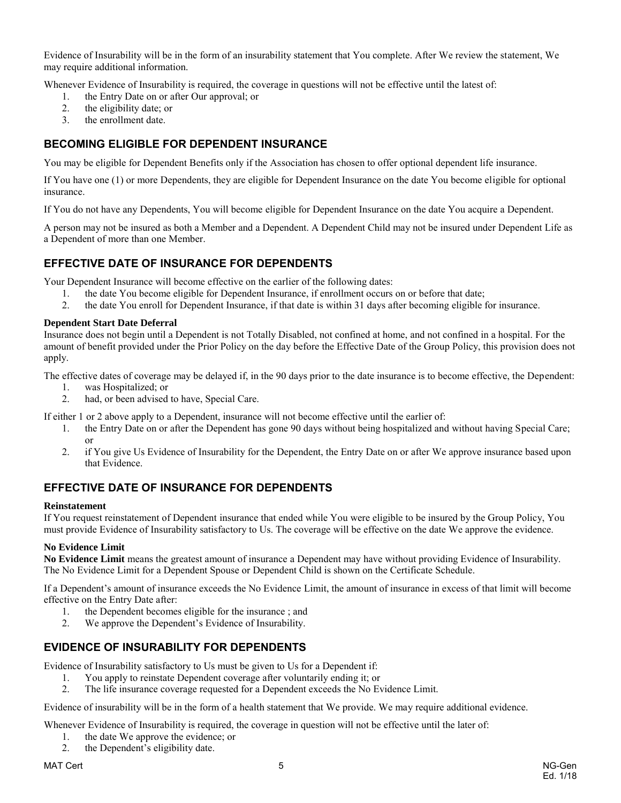Evidence of Insurability will be in the form of an insurability statement that You complete. After We review the statement, We may require additional information.

Whenever Evidence of Insurability is required, the coverage in questions will not be effective until the latest of:

- 1. the Entry Date on or after Our approval; or
- 2. the eligibility date; or
- 3. the enrollment date.

### <span id="page-4-0"></span>**BECOMING ELIGIBLE FOR DEPENDENT INSURANCE**

You may be eligible for Dependent Benefits only if the Association has chosen to offer optional dependent life insurance.

If You have one (1) or more Dependents, they are eligible for Dependent Insurance on the date You become eligible for optional insurance.

If You do not have any Dependents, You will become eligible for Dependent Insurance on the date You acquire a Dependent.

A person may not be insured as both a Member and a Dependent. A Dependent Child may not be insured under Dependent Life as a Dependent of more than one Member.

### <span id="page-4-1"></span>**EFFECTIVE DATE OF INSURANCE FOR DEPENDENTS**

Your Dependent Insurance will become effective on the earlier of the following dates:

- 1. the date You become eligible for Dependent Insurance, if enrollment occurs on or before that date;
- 2. the date You enroll for Dependent Insurance, if that date is within 31 days after becoming eligible for insurance.

#### **Dependent Start Date Deferral**

Insurance does not begin until a Dependent is not Totally Disabled, not confined at home, and not confined in a hospital. For the amount of benefit provided under the Prior Policy on the day before the Effective Date of the Group Policy, this provision does not apply.

The effective dates of coverage may be delayed if, in the 90 days prior to the date insurance is to become effective, the Dependent:

- 1. was Hospitalized; or
- 2. had, or been advised to have, Special Care.
- If either 1 or 2 above apply to a Dependent, insurance will not become effective until the earlier of:
	- 1. the Entry Date on or after the Dependent has gone 90 days without being hospitalized and without having Special Care; or
	- 2. if You give Us Evidence of Insurability for the Dependent, the Entry Date on or after We approve insurance based upon that Evidence.

## <span id="page-4-2"></span>**EFFECTIVE DATE OF INSURANCE FOR DEPENDENTS**

#### **Reinstatement**

If You request reinstatement of Dependent insurance that ended while You were eligible to be insured by the Group Policy, You must provide Evidence of Insurability satisfactory to Us. The coverage will be effective on the date We approve the evidence.

#### **No Evidence Limit**

**No Evidence Limit** means the greatest amount of insurance a Dependent may have without providing Evidence of Insurability. The No Evidence Limit for a Dependent Spouse or Dependent Child is shown on the Certificate Schedule.

If a Dependent's amount of insurance exceeds the No Evidence Limit, the amount of insurance in excess of that limit will become effective on the Entry Date after:

- 1. the Dependent becomes eligible for the insurance ; and
- 2. We approve the Dependent's Evidence of Insurability.

## <span id="page-4-3"></span>**EVIDENCE OF INSURABILITY FOR DEPENDENTS**

Evidence of Insurability satisfactory to Us must be given to Us for a Dependent if:

- 1. You apply to reinstate Dependent coverage after voluntarily ending it; or
- 2. The life insurance coverage requested for a Dependent exceeds the No Evidence Limit.

Evidence of insurability will be in the form of a health statement that We provide. We may require additional evidence.

Whenever Evidence of Insurability is required, the coverage in question will not be effective until the later of:

- 1. the date We approve the evidence; or
- 2. the Dependent's eligibility date.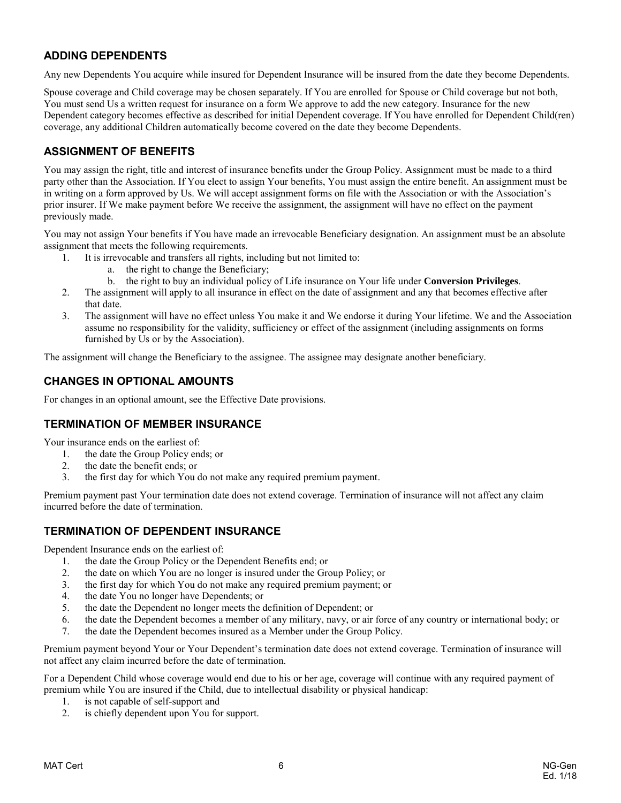## <span id="page-5-0"></span>**ADDING DEPENDENTS**

Any new Dependents You acquire while insured for Dependent Insurance will be insured from the date they become Dependents.

Spouse coverage and Child coverage may be chosen separately. If You are enrolled for Spouse or Child coverage but not both, You must send Us a written request for insurance on a form We approve to add the new category. Insurance for the new Dependent category becomes effective as described for initial Dependent coverage. If You have enrolled for Dependent Child(ren) coverage, any additional Children automatically become covered on the date they become Dependents.

## <span id="page-5-1"></span>**ASSIGNMENT OF BENEFITS**

You may assign the right, title and interest of insurance benefits under the Group Policy. Assignment must be made to a third party other than the Association. If You elect to assign Your benefits, You must assign the entire benefit. An assignment must be in writing on a form approved by Us. We will accept assignment forms on file with the Association or with the Association's prior insurer. If We make payment before We receive the assignment, the assignment will have no effect on the payment previously made.

You may not assign Your benefits if You have made an irrevocable Beneficiary designation. An assignment must be an absolute assignment that meets the following requirements.

- 1. It is irrevocable and transfers all rights, including but not limited to:
	- a. the right to change the Beneficiary;
	- b. the right to buy an individual policy of Life insurance on Your life under **Conversion Privileges**.
- 2. The assignment will apply to all insurance in effect on the date of assignment and any that becomes effective after that date.
- 3. The assignment will have no effect unless You make it and We endorse it during Your lifetime. We and the Association assume no responsibility for the validity, sufficiency or effect of the assignment (including assignments on forms furnished by Us or by the Association).

The assignment will change the Beneficiary to the assignee. The assignee may designate another beneficiary.

## <span id="page-5-2"></span>**CHANGES IN OPTIONAL AMOUNTS**

<span id="page-5-3"></span>For changes in an optional amount, see the Effective Date provisions.

### **TERMINATION OF MEMBER INSURANCE**

Your insurance ends on the earliest of:

- 1. the date the Group Policy ends; or
- 2. the date the benefit ends; or
- 3. the first day for which You do not make any required premium payment.

Premium payment past Your termination date does not extend coverage. Termination of insurance will not affect any claim incurred before the date of termination.

### <span id="page-5-4"></span>**TERMINATION OF DEPENDENT INSURANCE**

Dependent Insurance ends on the earliest of:

- 1. the date the Group Policy or the Dependent Benefits end; or
- 2. the date on which You are no longer is insured under the Group Policy; or
- 3. the first day for which You do not make any required premium payment; or
- the date You no longer have Dependents; or
- 5. the date the Dependent no longer meets the definition of Dependent; or
- 6. the date the Dependent becomes a member of any military, navy, or air force of any country or international body; or
- 7. the date the Dependent becomes insured as a Member under the Group Policy.

Premium payment beyond Your or Your Dependent's termination date does not extend coverage. Termination of insurance will not affect any claim incurred before the date of termination.

For a Dependent Child whose coverage would end due to his or her age, coverage will continue with any required payment of premium while You are insured if the Child, due to intellectual disability or physical handicap:

- 
- 1. is not capable of self-support and<br>2. is chiefly dependent upon You for is chiefly dependent upon You for support.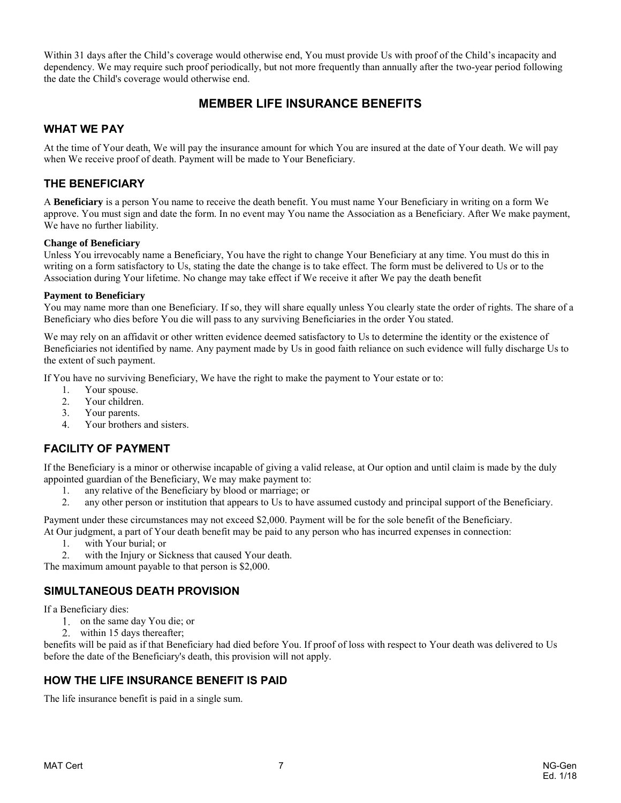Within 31 days after the Child's coverage would otherwise end, You must provide Us with proof of the Child's incapacity and dependency. We may require such proof periodically, but not more frequently than annually after the two-year period following the date the Child's coverage would otherwise end.

## **MEMBER LIFE INSURANCE BENEFITS**

### <span id="page-6-1"></span><span id="page-6-0"></span>**WHAT WE PAY**

At the time of Your death, We will pay the insurance amount for which You are insured at the date of Your death. We will pay when We receive proof of death. Payment will be made to Your Beneficiary.

### <span id="page-6-2"></span>**THE BENEFICIARY**

A **Beneficiary** is a person You name to receive the death benefit. You must name Your Beneficiary in writing on a form We approve. You must sign and date the form. In no event may You name the Association as a Beneficiary. After We make payment, We have no further liability.

#### **Change of Beneficiary**

Unless You irrevocably name a Beneficiary, You have the right to change Your Beneficiary at any time. You must do this in writing on a form satisfactory to Us, stating the date the change is to take effect. The form must be delivered to Us or to the Association during Your lifetime. No change may take effect if We receive it after We pay the death benefit

#### **Payment to Beneficiary**

You may name more than one Beneficiary. If so, they will share equally unless You clearly state the order of rights. The share of a Beneficiary who dies before You die will pass to any surviving Beneficiaries in the order You stated.

We may rely on an affidavit or other written evidence deemed satisfactory to Us to determine the identity or the existence of Beneficiaries not identified by name. Any payment made by Us in good faith reliance on such evidence will fully discharge Us to the extent of such payment.

If You have no surviving Beneficiary, We have the right to make the payment to Your estate or to:

- 1. Your spouse.<br>2. Your children
- Your children.
- 3. Your parents.
- 4. Your brothers and sisters.

## <span id="page-6-3"></span>**FACILITY OF PAYMENT**

If the Beneficiary is a minor or otherwise incapable of giving a valid release, at Our option and until claim is made by the duly appointed guardian of the Beneficiary, We may make payment to:

- 1. any relative of the Beneficiary by blood or marriage; or
- 2. any other person or institution that appears to Us to have assumed custody and principal support of the Beneficiary.

Payment under these circumstances may not exceed \$2,000. Payment will be for the sole benefit of the Beneficiary.

- At Our judgment, a part of Your death benefit may be paid to any person who has incurred expenses in connection:
	- 1. with Your burial; or
	- 2. with the Injury or Sickness that caused Your death.

<span id="page-6-4"></span>The maximum amount payable to that person is \$2,000.

## **SIMULTANEOUS DEATH PROVISION**

If a Beneficiary dies:

- 1. on the same day You die; or
- within 15 days thereafter;

benefits will be paid as if that Beneficiary had died before You. If proof of loss with respect to Your death was delivered to Us before the date of the Beneficiary's death, this provision will not apply.

## <span id="page-6-5"></span>**HOW THE LIFE INSURANCE BENEFIT IS PAID**

The life insurance benefit is paid in a single sum.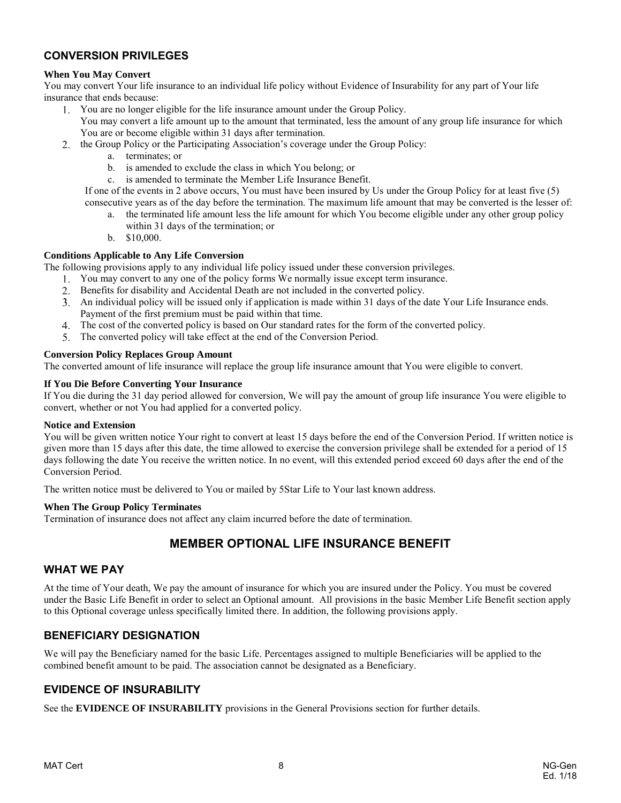## <span id="page-7-0"></span>**CONVERSION PRIVILEGES**

#### **When You May Convert**

You may convert Your life insurance to an individual life policy without Evidence of Insurability for any part of Your life insurance that ends because:

- You are no longer eligible for the life insurance amount under the Group Policy.
	- You may convert a life amount up to the amount that terminated, less the amount of any group life insurance for which You are or become eligible within 31 days after termination.
- the Group Policy or the Participating Association's coverage under the Group Policy:
	- a. terminates; or
	- b. is amended to exclude the class in which You belong; or
	- c. is amended to terminate the Member Life Insurance Benefit.

If one of the events in 2 above occurs, You must have been insured by Us under the Group Policy for at least five (5) consecutive years as of the day before the termination. The maximum life amount that may be converted is the lesser of:

- a. the terminated life amount less the life amount for which You become eligible under any other group policy within 31 days of the termination; or
- b. \$10,000.

#### **Conditions Applicable to Any Life Conversion**

The following provisions apply to any individual life policy issued under these conversion privileges.

- You may convert to any one of the policy forms We normally issue except term insurance.
- Benefits for disability and Accidental Death are not included in the converted policy.
- An individual policy will be issued only if application is made within 31 days of the date Your Life Insurance ends. Payment of the first premium must be paid within that time.
- The cost of the converted policy is based on Our standard rates for the form of the converted policy.
- The converted policy will take effect at the end of the Conversion Period.

#### **Conversion Policy Replaces Group Amount**

The converted amount of life insurance will replace the group life insurance amount that You were eligible to convert.

#### **If You Die Before Converting Your Insurance**

If You die during the 31 day period allowed for conversion, We will pay the amount of group life insurance You were eligible to convert, whether or not You had applied for a converted policy.

#### **Notice and Extension**

You will be given written notice Your right to convert at least 15 days before the end of the Conversion Period. If written notice is given more than 15 days after this date, the time allowed to exercise the conversion privilege shall be extended for a period of 15 days following the date You receive the written notice. In no event, will this extended period exceed 60 days after the end of the Conversion Period.

The written notice must be delivered to You or mailed by 5Star Life to Your last known address.

#### **When The Group Policy Terminates**

<span id="page-7-1"></span>Termination of insurance does not affect any claim incurred before the date of termination.

# **MEMBER OPTIONAL LIFE INSURANCE BENEFIT**

#### <span id="page-7-2"></span>**WHAT WE PAY**

At the time of Your death, We pay the amount of insurance for which you are insured under the Policy. You must be covered under the Basic Life Benefit in order to select an Optional amount. All provisions in the basic Member Life Benefit section apply to this Optional coverage unless specifically limited there. In addition, the following provisions apply.

### <span id="page-7-3"></span>**BENEFICIARY DESIGNATION**

We will pay the Beneficiary named for the basic Life. Percentages assigned to multiple Beneficiaries will be applied to the combined benefit amount to be paid. The association cannot be designated as a Beneficiary.

### <span id="page-7-4"></span>**EVIDENCE OF INSURABILITY**

See the **EVIDENCE OF INSURABILITY** provisions in the General Provisions section for further details.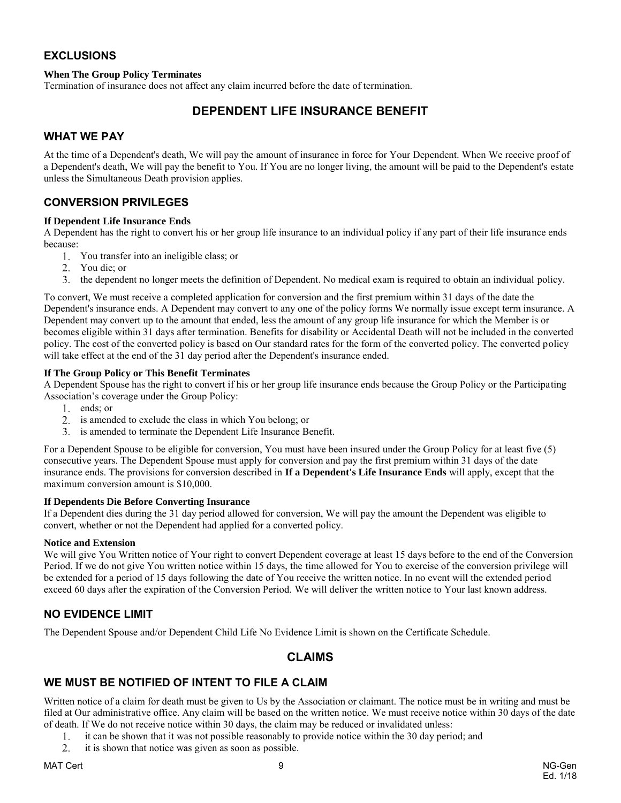### <span id="page-8-0"></span>**EXCLUSIONS**

#### **When The Group Policy Terminates**

<span id="page-8-1"></span>Termination of insurance does not affect any claim incurred before the date of termination.

# **DEPENDENT LIFE INSURANCE BENEFIT**

### <span id="page-8-2"></span>**WHAT WE PAY**

At the time of a Dependent's death, We will pay the amount of insurance in force for Your Dependent. When We receive proof of a Dependent's death, We will pay the benefit to You. If You are no longer living, the amount will be paid to the Dependent's estate unless the Simultaneous Death provision applies.

### <span id="page-8-3"></span>**CONVERSION PRIVILEGES**

#### **If Dependent Life Insurance Ends**

A Dependent has the right to convert his or her group life insurance to an individual policy if any part of their life insurance ends because:

- You transfer into an ineligible class; or
- You die; or
- the dependent no longer meets the definition of Dependent. No medical exam is required to obtain an individual policy.

To convert, We must receive a completed application for conversion and the first premium within 31 days of the date the Dependent's insurance ends. A Dependent may convert to any one of the policy forms We normally issue except term insurance. A Dependent may convert up to the amount that ended, less the amount of any group life insurance for which the Member is or becomes eligible within 31 days after termination. Benefits for disability or Accidental Death will not be included in the converted policy. The cost of the converted policy is based on Our standard rates for the form of the converted policy. The converted policy will take effect at the end of the 31 day period after the Dependent's insurance ended.

#### **If The Group Policy or This Benefit Terminates**

A Dependent Spouse has the right to convert if his or her group life insurance ends because the Group Policy or the Participating Association's coverage under the Group Policy:

- 1. ends; or
- 2. is amended to exclude the class in which You belong; or
- is amended to terminate the Dependent Life Insurance Benefit.

For a Dependent Spouse to be eligible for conversion, You must have been insured under the Group Policy for at least five (5) consecutive years. The Dependent Spouse must apply for conversion and pay the first premium within 31 days of the date insurance ends. The provisions for conversion described in **If a Dependent's Life Insurance Ends** will apply, except that the maximum conversion amount is \$10,000.

#### **If Dependents Die Before Converting Insurance**

If a Dependent dies during the 31 day period allowed for conversion, We will pay the amount the Dependent was eligible to convert, whether or not the Dependent had applied for a converted policy.

#### **Notice and Extension**

We will give You Written notice of Your right to convert Dependent coverage at least 15 days before to the end of the Conversion Period. If we do not give You written notice within 15 days, the time allowed for You to exercise of the conversion privilege will be extended for a period of 15 days following the date of You receive the written notice. In no event will the extended period exceed 60 days after the expiration of the Conversion Period. We will deliver the written notice to Your last known address.

#### <span id="page-8-4"></span>**NO EVIDENCE LIMIT**

<span id="page-8-5"></span>The Dependent Spouse and/or Dependent Child Life No Evidence Limit is shown on the Certificate Schedule.

### **CLAIMS**

### <span id="page-8-6"></span>**WE MUST BE NOTIFIED OF INTENT TO FILE A CLAIM**

Written notice of a claim for death must be given to Us by the Association or claimant. The notice must be in writing and must be filed at Our administrative office. Any claim will be based on the written notice. We must receive notice within 30 days of the date of death. If We do not receive notice within 30 days, the claim may be reduced or invalidated unless:

- 1. it can be shown that it was not possible reasonably to provide notice within the 30 day period; and
- 2. it is shown that notice was given as soon as possible.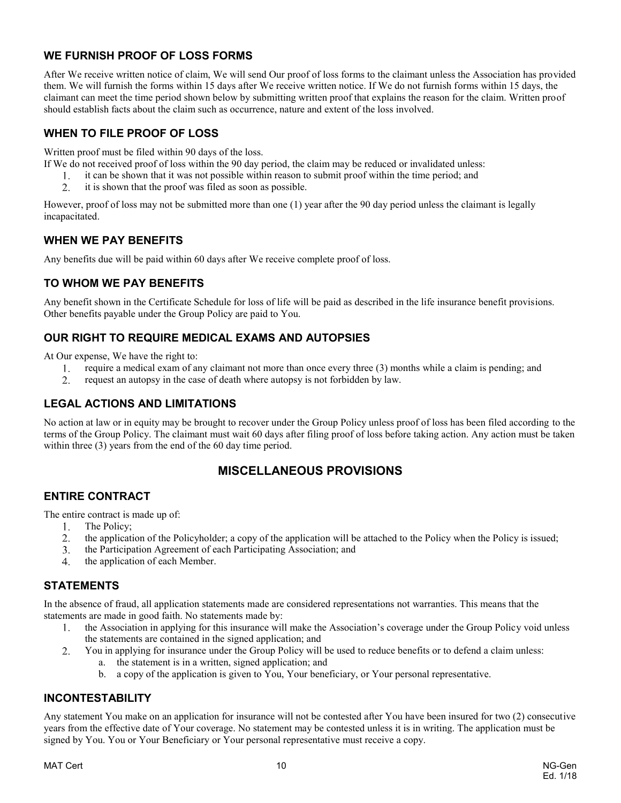## <span id="page-9-0"></span>**WE FURNISH PROOF OF LOSS FORMS**

After We receive written notice of claim, We will send Our proof of loss forms to the claimant unless the Association has provided them. We will furnish the forms within 15 days after We receive written notice. If We do not furnish forms within 15 days, the claimant can meet the time period shown below by submitting written proof that explains the reason for the claim. Written proof should establish facts about the claim such as occurrence, nature and extent of the loss involved.

### <span id="page-9-1"></span>**WHEN TO FILE PROOF OF LOSS**

Written proof must be filed within 90 days of the loss.

- If We do not received proof of loss within the 90 day period, the claim may be reduced or invalidated unless:
	- it can be shown that it was not possible within reason to submit proof within the time period; and  $1_{\odot}$
	- 2. it is shown that the proof was filed as soon as possible.

However, proof of loss may not be submitted more than one (1) year after the 90 day period unless the claimant is legally incapacitated.

### <span id="page-9-2"></span>**WHEN WE PAY BENEFITS**

<span id="page-9-3"></span>Any benefits due will be paid within 60 days after We receive complete proof of loss.

### **TO WHOM WE PAY BENEFITS**

Any benefit shown in the Certificate Schedule for loss of life will be paid as described in the life insurance benefit provisions. Other benefits payable under the Group Policy are paid to You.

### <span id="page-9-4"></span>**OUR RIGHT TO REQUIRE MEDICAL EXAMS AND AUTOPSIES**

At Our expense, We have the right to:

- require a medical exam of any claimant not more than once every three (3) months while a claim is pending; and  $1.$
- 2. request an autopsy in the case of death where autopsy is not forbidden by law.

### <span id="page-9-5"></span>**LEGAL ACTIONS AND LIMITATIONS**

<span id="page-9-6"></span>No action at law or in equity may be brought to recover under the Group Policy unless proof of loss has been filed according to the terms of the Group Policy. The claimant must wait 60 days after filing proof of loss before taking action. Any action must be taken within three (3) years from the end of the 60 day time period.

## **MISCELLANEOUS PROVISIONS**

## <span id="page-9-7"></span>**ENTIRE CONTRACT**

The entire contract is made up of:

- $1.$ The Policy;
- 2. the application of the Policyholder; a copy of the application will be attached to the Policy when the Policy is issued;
- the Participation Agreement of each Participating Association; and  $3<sub>1</sub>$
- $\overline{4}$ the application of each Member.

## <span id="page-9-8"></span>**STATEMENTS**

In the absence of fraud, all application statements made are considered representations not warranties. This means that the statements are made in good faith. No statements made by:

- the Association in applying for this insurance will make the Association's coverage under the Group Policy void unless  $1_{-}$ the statements are contained in the signed application; and
- $\overline{2}$ . You in applying for insurance under the Group Policy will be used to reduce benefits or to defend a claim unless: a. the statement is in a written, signed application; and
	- b. a copy of the application is given to You, Your beneficiary, or Your personal representative.

# <span id="page-9-9"></span>**INCONTESTABILITY**

Any statement You make on an application for insurance will not be contested after You have been insured for two (2) consecutive years from the effective date of Your coverage. No statement may be contested unless it is in writing. The application must be signed by You. You or Your Beneficiary or Your personal representative must receive a copy.